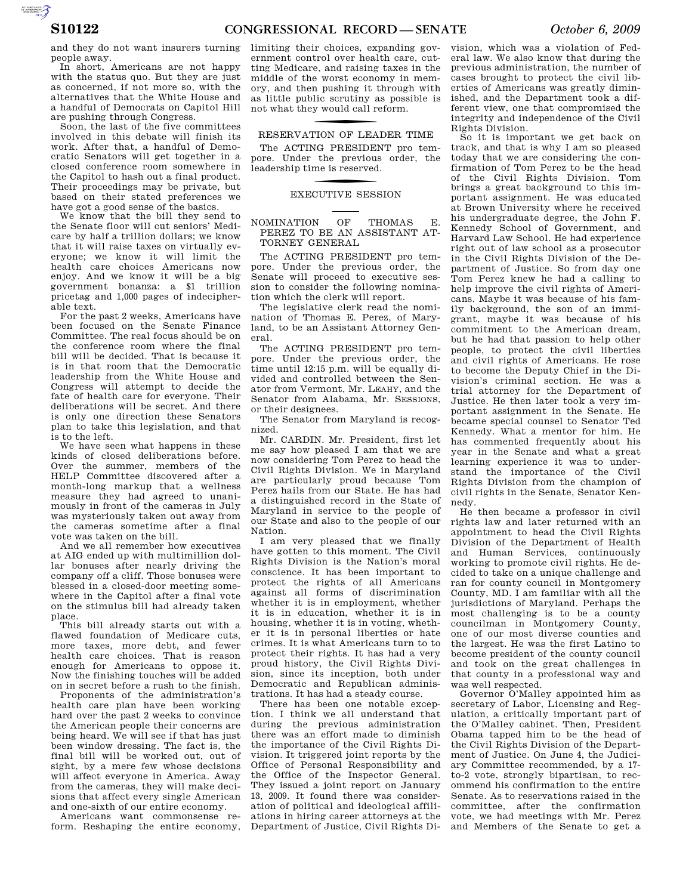and they do not want insurers turning people away.

In short, Americans are not happy with the status quo. But they are just as concerned, if not more so, with the alternatives that the White House and a handful of Democrats on Capitol Hill are pushing through Congress.

Soon, the last of the five committees involved in this debate will finish its work. After that, a handful of Democratic Senators will get together in a closed conference room somewhere in the Capitol to hash out a final product. Their proceedings may be private, but based on their stated preferences we have got a good sense of the basics.

We know that the bill they send to the Senate floor will cut seniors' Medicare by half a trillion dollars; we know that it will raise taxes on virtually everyone; we know it will limit the health care choices Americans now enjoy. And we know it will be a big government bonanza: a \$1 trillion pricetag and 1,000 pages of indecipherable text.

For the past 2 weeks, Americans have been focused on the Senate Finance Committee. The real focus should be on the conference room where the final bill will be decided. That is because it is in that room that the Democratic leadership from the White House and Congress will attempt to decide the fate of health care for everyone. Their deliberations will be secret. And there is only one direction these Senators plan to take this legislation, and that is to the left.

We have seen what happens in these kinds of closed deliberations before. Over the summer, members of the HELP Committee discovered after a month-long markup that a wellness measure they had agreed to unanimously in front of the cameras in July was mysteriously taken out away from the cameras sometime after a final vote was taken on the bill.

And we all remember how executives at AIG ended up with multimillion dollar bonuses after nearly driving the company off a cliff. Those bonuses were blessed in a closed-door meeting somewhere in the Capitol after a final vote on the stimulus bill had already taken place.

This bill already starts out with a flawed foundation of Medicare cuts, more taxes, more debt, and fewer health care choices. That is reason enough for Americans to oppose it. Now the finishing touches will be added on in secret before a rush to the finish.

Proponents of the administration's health care plan have been working hard over the past 2 weeks to convince the American people their concerns are being heard. We will see if that has just been window dressing. The fact is, the final bill will be worked out, out of sight, by a mere few whose decisions will affect everyone in America. Away from the cameras, they will make decisions that affect every single American and one-sixth of our entire economy.

Americans want commonsense reform. Reshaping the entire economy,

limiting their choices, expanding government control over health care, cutting Medicare, and raising taxes in the middle of the worst economy in memory, and then pushing it through with as little public scrutiny as possible is not what they would call reform.

# RESERVATION OF LEADER TIME

The ACTING PRESIDENT pro tempore. Under the previous order, the leadership time is reserved.

# f EXECUTIVE SESSION

### NOMINATION OF THOMAS E. PEREZ TO BE AN ASSISTANT AT-TORNEY GENERAL

The ACTING PRESIDENT pro tempore. Under the previous order, the Senate will proceed to executive session to consider the following nomination which the clerk will report.

The legislative clerk read the nomination of Thomas E. Perez, of Maryland, to be an Assistant Attorney General.

The ACTING PRESIDENT pro tempore. Under the previous order, the time until 12:15 p.m. will be equally divided and controlled between the Senator from Vermont, Mr. LEAHY, and the Senator from Alabama, Mr. SESSIONS, or their designees.

The Senator from Maryland is recognized.

Mr. CARDIN. Mr. President, first let me say how pleased I am that we are now considering Tom Perez to head the Civil Rights Division. We in Maryland are particularly proud because Tom Perez hails from our State. He has had a distinguished record in the State of Maryland in service to the people of our State and also to the people of our Nation.

I am very pleased that we finally have gotten to this moment. The Civil Rights Division is the Nation's moral conscience. It has been important to protect the rights of all Americans against all forms of discrimination whether it is in employment, whether it is in education, whether it is in housing, whether it is in voting, whether it is in personal liberties or hate crimes. It is what Americans turn to to protect their rights. It has had a very proud history, the Civil Rights Division, since its inception, both under Democratic and Republican administrations. It has had a steady course.

There has been one notable exception. I think we all understand that during the previous administration there was an effort made to diminish the importance of the Civil Rights Division. It triggered joint reports by the Office of Personal Responsibility and the Office of the Inspector General. They issued a joint report on January 13, 2009. It found there was consideration of political and ideological affiliations in hiring career attorneys at the Department of Justice, Civil Rights Di-

vision, which was a violation of Federal law. We also know that during the previous administration, the number of cases brought to protect the civil liberties of Americans was greatly diminished, and the Department took a different view, one that compromised the integrity and independence of the Civil Rights Division.

So it is important we get back on track, and that is why I am so pleased today that we are considering the confirmation of Tom Perez to be the head of the Civil Rights Division. Tom brings a great background to this important assignment. He was educated at Brown University where he received his undergraduate degree, the John F. Kennedy School of Government, and Harvard Law School. He had experience right out of law school as a prosecutor in the Civil Rights Division of the Department of Justice. So from day one Tom Perez knew he had a calling to help improve the civil rights of Americans. Maybe it was because of his family background, the son of an immigrant, maybe it was because of his commitment to the American dream, but he had that passion to help other people, to protect the civil liberties and civil rights of Americans. He rose to become the Deputy Chief in the Division's criminal section. He was a trial attorney for the Department of Justice. He then later took a very important assignment in the Senate. He became special counsel to Senator Ted Kennedy. What a mentor for him. He has commented frequently about his year in the Senate and what a great learning experience it was to understand the importance of the Civil Rights Division from the champion of civil rights in the Senate, Senator Kennedy.

He then became a professor in civil rights law and later returned with an appointment to head the Civil Rights Division of the Department of Health and Human Services, continuously working to promote civil rights. He decided to take on a unique challenge and ran for county council in Montgomery County, MD. I am familiar with all the jurisdictions of Maryland. Perhaps the most challenging is to be a county councilman in Montgomery County, one of our most diverse counties and the largest. He was the first Latino to become president of the county council and took on the great challenges in that county in a professional way and was well respected.

Governor O'Malley appointed him as secretary of Labor, Licensing and Regulation, a critically important part of the O'Malley cabinet. Then, President Obama tapped him to be the head of the Civil Rights Division of the Department of Justice. On June 4, the Judiciary Committee recommended, by a 17 to-2 vote, strongly bipartisan, to recommend his confirmation to the entire Senate. As to reservations raised in the committee, after the confirmation vote, we had meetings with Mr. Perez and Members of the Senate to get a

AUTOROTOMICALE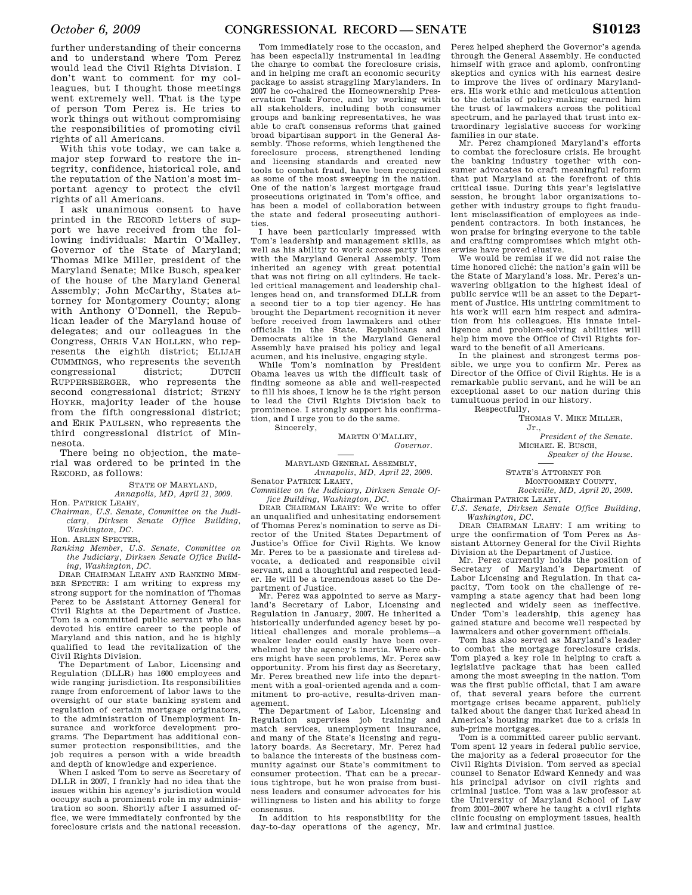further understanding of their concerns and to understand where Tom Perez would lead the Civil Rights Division. I don't want to comment for my colleagues, but I thought those meetings went extremely well. That is the type of person Tom Perez is. He tries to work things out without compromising the responsibilities of promoting civil rights of all Americans.

With this vote today, we can take a major step forward to restore the integrity, confidence, historical role, and the reputation of the Nation's most important agency to protect the civil rights of all Americans.

I ask unanimous consent to have printed in the RECORD letters of support we have received from the following individuals: Martin O'Malley, Governor of the State of Maryland; Thomas Mike Miller, president of the Maryland Senate; Mike Busch, speaker of the house of the Maryland General Assembly; John McCarthy, States attorney for Montgomery County; along with Anthony O'Donnell, the Republican leader of the Maryland house of delegates; and our colleagues in the Congress, CHRIS VAN HOLLEN, who represents the eighth district; ELIJAH CUMMINGS, who represents the seventh congressional district; DUTCH RUPPERSBERGER, who represents the second congressional district; STENY HOYER, majority leader of the house from the fifth congressional district; and ERIK PAULSEN, who represents the third congressional district of Minnesota.

There being no objection, the material was ordered to be printed in the RECORD, as follows:

> STATE OF MARYLAND, *Annapolis, MD, April 21, 2009.*

Hon. PATRICK LEAHY,

*Chairman, U.S. Senate, Committee on the Judiciary, Dirksen Senate Office Building, Washington, DC.* 

Hon. ARLEN SPECTER,

*Ranking Member, U.S. Senate, Committee on the Judiciary, Dirksen Senate Office Building, Washington, DC.* 

DEAR CHAIRMAN LEAHY AND RANKING MEM-BER SPECTER: I am writing to express my strong support for the nomination of Thomas Perez to be Assistant Attorney General for Civil Rights at the Department of Justice. Tom is a committed public servant who has devoted his entire career to the people of Maryland and this nation, and he is highly qualified to lead the revitalization of the Civil Rights Division.

The Department of Labor, Licensing and Regulation (DLLR) has 1600 employees and wide ranging jurisdiction. Its responsibilities range from enforcement of labor laws to the oversight of our state banking system and regulation of certain mortgage originators, to the administration of Unemployment Insurance and workforce development programs. The Department has additional consumer protection responsibilities, and the job requires a person with a wide breadth and depth of knowledge and experience.

When I asked Tom to serve as Secretary of DLLR in 2007, I frankly had no idea that the issues within his agency's jurisdiction would occupy such a prominent role in my administration so soon. Shortly after I assumed office, we were immediately confronted by the foreclosure crisis and the national recession.

Tom immediately rose to the occasion, and has been especially instrumental in leading the charge to combat the foreclosure crisis, and in helping me craft an economic security package to assist straggling Marylanders. In 2007 he co-chaired the Homeownership Preservation Task Force, and by working with all stakeholders, including both consumer groups and banking representatives, he was able to craft consensus reforms that gained broad bipartisan support in the General Assembly. Those reforms, which lengthened the foreclosure process, strengthened lending and licensing standards and created new tools to combat fraud, have been recognized as some of the most sweeping in the nation. One of the nation's largest mortgage fraud prosecutions originated in Tom's office, and has been a model of collaboration between the state and federal prosecuting authorities.

I have been particularly impressed with Tom's leadership and management skills, as well as his ability to work across party lines with the Maryland General Assembly. Tom inherited an agency with great potential that was not firing on all cylinders. He tackled critical management and leadership challenges head on, and transformed DLLR from a second tier to a top tier agency. He has brought the Department recognition it never before received from lawmakers and other officials in the State. Republicans and Democrats alike in the Maryland General Assembly have praised his policy and legal acumen, and his inclusive, engaging style.

While Tom's nomination by President Obama leaves us with the difficult task of finding someone as able and well-respected to fill his shoes, I know he is the right person to lead the Civil Rights Division back to prominence. I strongly support his confirmation, and I urge you to do the same. Sincerely,

> MARTIN O'MALLEY, *Governor.*

MARYLAND GENERAL ASSEMBLY, *Annapolis, MD, April 22, 2009.*  Senator PATRICK LEAHY,

*Committee on the Judiciary, Dirksen Senate Office Building, Washington, DC.* 

DEAR CHAIRMAN LEAHY: We write to offer an unqualified and unhesitating endorsement of Thomas Perez's nomination to serve as Director of the United States Department of Justice's Office for Civil Rights. We know Mr. Perez to be a passionate and tireless advocate, a dedicated and responsible civil servant, and a thoughtful and respected leader. He will be a tremendous asset to the Department of Justice.

Mr. Perez was appointed to serve as Maryland's Secretary of Labor, Licensing and Regulation in January, 2007. He inherited a historically underfunded agency beset by political challenges and morale problems—a weaker leader could easily have been overwhelmed by the agency's inertia. Where others might have seen problems, Mr. Perez saw opportunity. From his first day as Secretary, Mr. Perez breathed new life into the department with a goal-oriented agenda and a commitment to pro-active, results-driven management.

The Department of Labor, Licensing and Regulation supervises job training and match services, unemployment insurance, and many of the State's licensing and regulatory boards. As Secretary, Mr. Perez had to balance the interests of the business community against our State's commitment to consumer protection. That can be a precarious tightrope, but he won praise from business leaders and consumer advocates for his willingness to listen and his ability to forge consensus.

In addition to his responsibility for the day-to-day operations of the agency, Mr. Perez helped shepherd the Governor's agenda through the General Assembly. He conducted himself with grace and aplomb, confronting skeptics and cynics with his earnest desire to improve the lives of ordinary Marylanders. His work ethic and meticulous attention to the details of policy-making earned him the trust of lawmakers across the political spectrum, and he parlayed that trust into extraordinary legislative success for working families in our state.

Mr. Perez championed Maryland's efforts to combat the foreclosure crisis. He brought the banking industry together with consumer advocates to craft meaningful reform that put Maryland at the forefront of this critical issue. During this year's legislative session, he brought labor organizations together with industry groups to fight fraudulent misclassification of employees as independent contractors. In both instances, he won praise for bringing everyone to the table and crafting compromises which might otherwise have proved elusive.

We would be remiss if we did not raise the time honored cliche´: the nation's gain will be the State of Maryland's loss. Mr. Perez's unwavering obligation to the highest ideal of public service will be an asset to the Department of Justice. His untiring commitment to his work will earn him respect and admiration from his colleagues. His innate intelligence and problem-solving abilities will help him move the Office of Civil Rights forward to the benefit of all Americans.

In the plainest and strongest terms possible, we urge you to confirm Mr. Perez as Director of the Office of Civil Rights. He is a remarkable public servant, and he will be an exceptional asset to our nation during this tumultuous period in our history. Respectfully,

THOMAS V. MIKE MILLER,

Jr., *President of the Senate.*  MICHAEL E. BUSCH. *Speaker of the House.* 

STATE'S ATTORNEY FOR MONTGOMERY COUNTY,

*Rockville, MD, April 20, 2009.* 

Chairman PATRICK LEAHY, *U.S. Senate, Dirksen Senate Office Building, Washington, DC.* 

DEAR CHAIRMAN LEAHY: I am writing to urge the confirmation of Tom Perez as Assistant Attorney General for the Civil Rights Division at the Department of Justice.

Mr. Perez currently holds the position of Secretary of Maryland's Department of Labor Licensing and Regulation. In that capacity, Tom took on the challenge of revamping a state agency that had been long neglected and widely seen as ineffective. Under Tom's leadership, this agency has gained stature and become well respected by lawmakers and other government officials.

Tom has also served as Maryland's leader to combat the mortgage foreclosure crisis. Tom played a key role in helping to craft a legislative package that has been called among the most sweeping in the nation. Tom was the first public official, that I am aware of, that several years before the current mortgage crises became apparent, publicly talked about the danger that lurked ahead in America's housing market due to a crisis in sub-prime mortgages.

Tom is a committed career public servant. Tom spent 12 years in federal public service, the majority as a federal prosecutor for the Civil Rights Division. Tom served as special counsel to Senator Edward Kennedy and was his principal advisor on civil rights and criminal justice. Tom was a law professor at the University of Maryland School of Law from 2001–2007 where he taught a civil rights clinic focusing on employment issues, health law and criminal justice.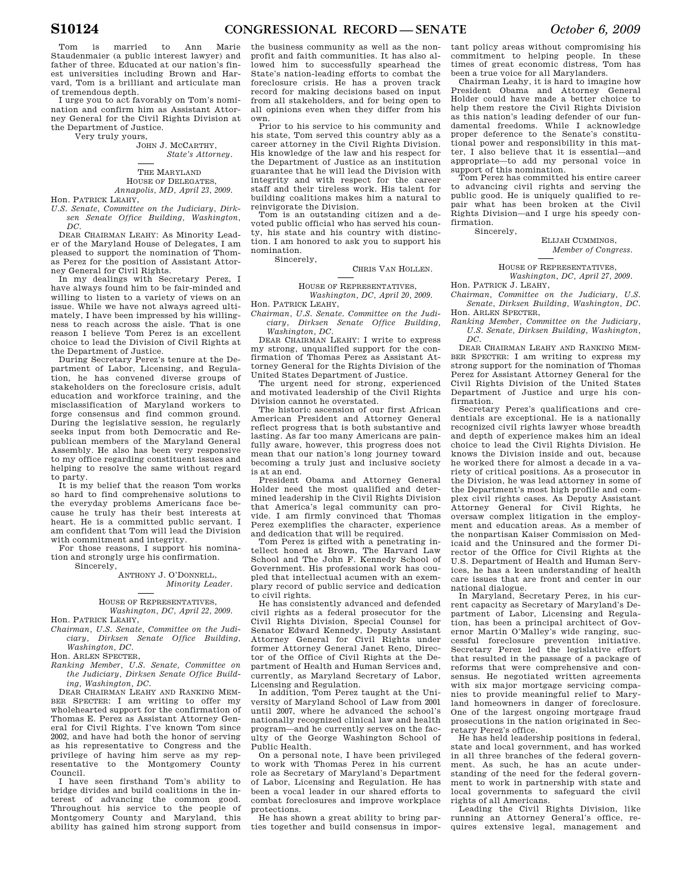Tom is married to Ann Marie Staudenmaier (a public interest lawyer) and father of three. Educated at our nation's finest universities including Brown and Harvard, Tom is a brilliant and articulate man of tremendous depth.

I urge you to act favorably on Tom's nomination and confirm him as Assistant Attorney General for the Civil Rights Division at the Department of Justice.

Very truly yours,

JOHN J. MCCARTHY, *State's Attorney.* 

#### THE MARYLAND HOUSE OF DELEGATES, *Annapolis, MD, April 23, 2009.*

Hon. PATRICK LEAHY,

*U.S. Senate, Committee on the Judiciary, Dirksen Senate Office Building, Washington, DC.* 

DEAR CHAIRMAN LEAHY: As Minority Leader of the Maryland House of Delegates, I am pleased to support the nomination of Thomas Perez for the position of Assistant Attorney General for Civil Rights.

In my dealings with Secretary Perez, I have always found him to be fair-minded and willing to listen to a variety of views on an issue. While we have not always agreed ultimately, I have been impressed by his willingness to reach across the aisle. That is one reason I believe Tom Perez is an excellent choice to lead the Division of Civil Rights at the Department of Justice.

During Secretary Perez's tenure at the Department of Labor, Licensing, and Regulation, he has convened diverse groups of stakeholders on the foreclosure crisis, adult education and workforce training, and the misclassification of Maryland workers to forge consensus and find common ground. During the legislative session, he regularly seeks input from both Democratic and Republican members of the Maryland General Assembly. He also has been very responsive to my office regarding constituent issues and helping to resolve the same without regard to party.

It is my belief that the reason Tom works so hard to find comprehensive solutions to the everyday problems Americans face because he truly has their best interests at heart. He is a committed public servant. I am confident that Tom will lead the Division with commitment and integrity.

For those reasons, I support his nomination and strongly urge his confirmation. Sincerely,

ANTHONY J. O'DONNELL,

*Minority Leader.* 

#### HOUSE OF REPRESENTATIVES, *Washington, DC, April 22, 2009.*

Hon. PATRICK LEAHY,

*Chairman, U.S. Senate, Committee on the Judiciary, Dirksen Senate Office Building, Washington, DC.* 

Hon. ARLEN SPECTER,

*Ranking Member, U.S. Senate, Committee on the Judiciary, Dirksen Senate Office Building, Washington, DC.* 

DEAR CHAIRMAN LEAHY AND RANKING MEM-BER SPECTER: I am writing to offer my wholehearted support for the confirmation of Thomas E. Perez as Assistant Attorney General for Civil Rights. I've known Tom since 2002, and have had both the honor of serving as his representative to Congress and the privilege of having him serve as my representative to the Montgomery County

Council.<br>I have have seen firsthand Tom's ability to bridge divides and build coalitions in the interest of advancing the common good. Throughout his service to the people of Montgomery County and Maryland, this ability has gained him strong support from

the business community as well as the nonprofit and faith communities. It has also allowed him to successfully spearhead the State's nation-leading efforts to combat the foreclosure crisis. He has a proven track record for making decisions based on input from all stakeholders, and for being open to all opinions even when they differ from his own.

Prior to his service to his community and his state, Tom served this country ably as a career attorney in the Civil Rights Division. His knowledge of the law and his respect for the Department of Justice as an institution guarantee that he will lead the Division with integrity and with respect for the career staff and their tireless work. His talent for building coalitions makes him a natural to reinvigorate the Division.

Tom is an outstanding citizen and a devoted public official who has served his county, his state and his country with distinction. I am honored to ask you to support his nomination. Sincerely,

#### CHRIS VAN HOLLEN.

HOUSE OF REPRESENTATIVES, *Washington, DC, April 20, 2009.* 

Hon. PATRICK LEAHY,

*Chairman, U.S. Senate. Committee on the Judiciary, Dirksen Senate Office Building, Washington, DC.* 

DEAR CHAIRMAN LEAHY: I write to express my strong, unqualified support for the confirmation of Thomas Perez as Assistant Attorney General for the Rights Division of the United States Department of Justice.

The urgent need for strong, experienced and motivated leadership of the Civil Rights Division cannot he overstated.

The historic ascension of our first African American President and Attorney General reflect progress that is both substantive and lasting. As far too many Americans are painfully aware, however, this progress does not mean that our nation's long journey toward becoming a truly just and inclusive society is at an end.

President Obama and Attorney General Holder need the most qualified and determined leadership in the Civil Rights Division that America's legal community can provide. I am firmly convinced that Thomas Perez exemplifies the character, experience and dedication that will be required.

Tom Perez is gifted with a penetrating intellect honed at Brown, The Harvard Law School and The John F. Kennedy School of Government. His professional work has coupled that intellectual acumen with an exemplary record of public service and dedication to civil rights.

He has consistently advanced and defended civil rights as a federal prosecutor for the Civil Rights Division, Special Counsel for Senator Edward Kennedy, Deputy Assistant Attorney General for Civil Rights under former Attorney General Janet Reno, Director of the Office of Civil Rights at the Department of Health and Human Services and, currently, as Maryland Secretary of Labor, Licensing and Regulation.

In addition, Tom Perez taught at the University of Maryland School of Law from 2001 until 2007, where he advanced the school's nationally recognized clinical law and health program—and he currently serves on the faculty of the George Washington School of Public Health.

On a personal note, I have been privileged to work with Thomas Perez in his current role as Secretary of Maryland's Department of Labor, Licensing and Regulation. He has been a vocal leader in our shared efforts to combat foreclosures and improve workplace protections.

He has shown a great ability to bring parties together and build consensus in impor-

tant policy areas without compromising his commitment to helping people. In these times of great economic distress, Tom has been a true voice for all Marylanders.

Chairman Leahy, it is hard to imagine how President Obama and Attorney General Holder could have made a better choice to help them restore the Civil Rights Division as this nation's leading defender of our fundamental freedoms. While I acknowledge proper deference to the Senate's constitutional power and responsibility in this matter, I also believe that it is essential—and appropriate—to add my personal voice in support of this nomination.

Tom Perez has committed his entire career to advancing civil rights and serving the public good. He is uniquely qualified to repair what has been broken at the Civil Rights Division—and I urge his speedy confirmation.

Sincerely,

ELIJAH CUMMINGS, *Member of Congress.* 

HOUSE OF REPRESENTATIVES, *Washington, DC, April 27, 2009.* 

Hon. PATRICK J. LEAHY,

*Chairman, Committee on the Judiciary, U.S. Senate, Dirksen Building, Washington, DC.*  Hon. ARLEN SPECTER,

*Ranking Member, Committee on the Judiciary, U.S. Senate, Dirksen Building, Washington, DC.* 

DEAR CHAIRMAN LEAHY AND RANKING MEM-BER SPECTER: I am writing to express my strong support for the nomination of Thomas Perez for Assistant Attorney General for the Civil Rights Division of the United States Department of Justice and urge his confirmation.

Secretary Perez's qualifications and credentials are exceptional. He is a nationally recognized civil rights lawyer whose breadth and depth of experience makes him an ideal choice to lead the Civil Rights Division. He knows the Division inside and out, because he worked there for almost a decade in a variety of critical positions. As a prosecutor in the Division, he was lead attorney in some of the Department's most high profile and complex civil rights cases. As Deputy Assistant Attorney General for Civil Rights, he oversaw complex litigation in the employment and education areas. As a member of the nonpartisan Kaiser Commission on Medicaid and the Uninsured and the former Director of the Office for Civil Rights at the U.S. Department of Health and Human Services, he has a keen understanding of health care issues that are front and center in our national dialogue.

In Maryland, Secretary Perez, in his current capacity as Secretary of Maryland's Department of Labor, Licensing and Regulation, has been a principal architect of Governor Martin O'Malley's wide ranging, successful foreclosure prevention initiative. Secretary Perez led the legislative effort that resulted in the passage of a package of reforms that were comprehensive and consensus. He negotiated written agreements with six major mortgage servicing companies to provide meaningful relief to Maryland homeowners in danger of foreclosure. One of the largest ongoing mortgage fraud prosecutions in the nation originated in Secretary Perez's office.

He has held leadership positions in federal, state and local government, and has worked in all three branches of the federal government. As such, he has an acute understanding of the need for the federal government to work in partnership with state and local governments to safeguard the civil rights of all Americans.

Leading the Civil Rights Division, like running an Attorney General's office, requires extensive legal, management and